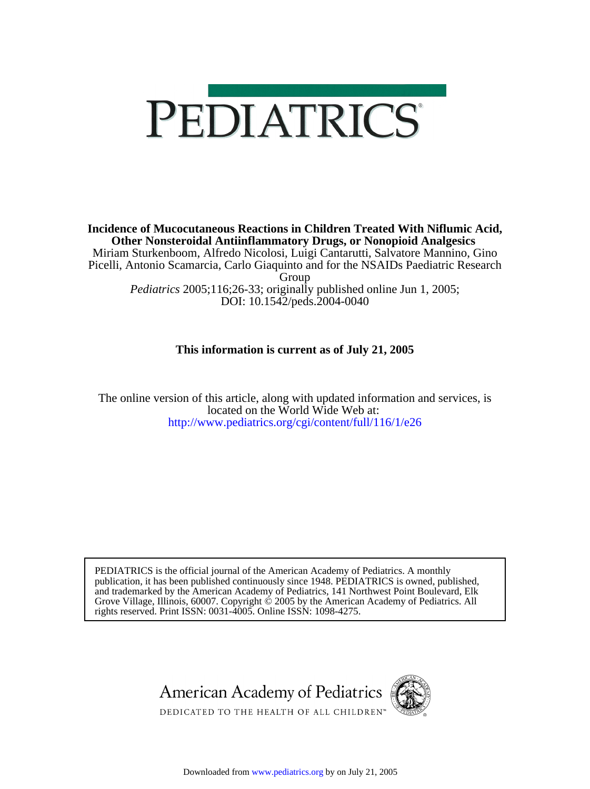

DOI: 10.1542/peds.2004-0040 *Pediatrics* 2005;116;26-33; originally published online Jun 1, 2005; Group Picelli, Antonio Scamarcia, Carlo Giaquinto and for the NSAIDs Paediatric Research Miriam Sturkenboom, Alfredo Nicolosi, Luigi Cantarutti, Salvatore Mannino, Gino **Other Nonsteroidal Antiinflammatory Drugs, or Nonopioid Analgesics Incidence of Mucocutaneous Reactions in Children Treated With Niflumic Acid,**

# **This information is current as of July 21, 2005**

<http://www.pediatrics.org/cgi/content/full/116/1/e26> located on the World Wide Web at: The online version of this article, along with updated information and services, is

rights reserved. Print ISSN: 0031-4005. Online ISSN: 1098-4275. Grove Village, Illinois, 60007. Copyright  $\ddot{\odot}$  2005 by the American Academy of Pediatrics. All and trademarked by the American Academy of Pediatrics, 141 Northwest Point Boulevard, Elk publication, it has been published continuously since 1948. PEDIATRICS is owned, published, PEDIATRICS is the official journal of the American Academy of Pediatrics. A monthly



DEDICATED TO THE HEALTH OF ALL CHILDREN™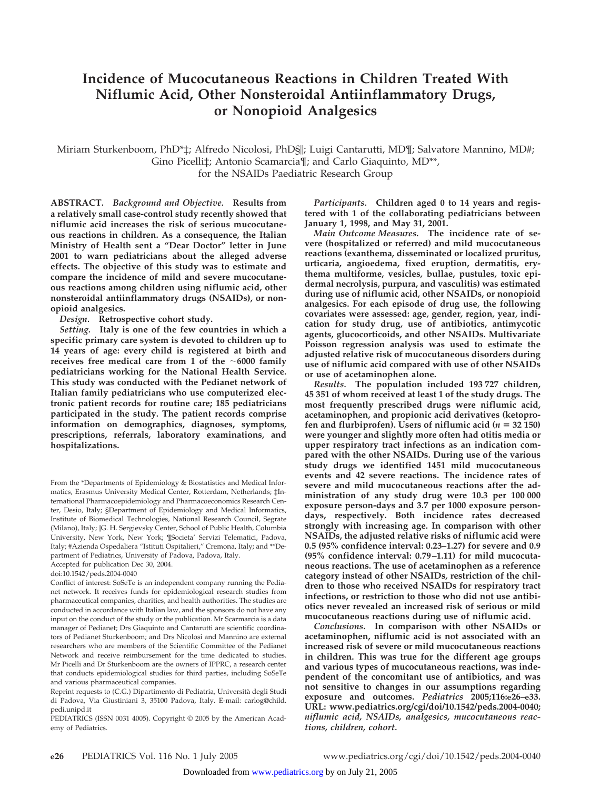# **Incidence of Mucocutaneous Reactions in Children Treated With Niflumic Acid, Other Nonsteroidal Antiinflammatory Drugs, or Nonopioid Analgesics**

Miriam Sturkenboom, PhD\*‡; Alfredo Nicolosi, PhD§||; Luigi Cantarutti, MD¶; Salvatore Mannino, MD#; Gino Picelli‡; Antonio Scamarcia¶; and Carlo Giaquinto, MD\*\*, for the NSAIDs Paediatric Research Group

**ABSTRACT.** *Background and Objective.* **Results from a relatively small case-control study recently showed that niflumic acid increases the risk of serious mucocutaneous reactions in children. As a consequence, the Italian Ministry of Health sent a "Dear Doctor" letter in June 2001 to warn pediatricians about the alleged adverse effects. The objective of this study was to estimate and compare the incidence of mild and severe mucocutaneous reactions among children using niflumic acid, other nonsteroidal antiinflammatory drugs (NSAIDs), or nonopioid analgesics.**

*Design.* **Retrospective cohort study.**

*Setting.* **Italy is one of the few countries in which a specific primary care system is devoted to children up to 14 years of age: every child is registered at birth and** receives free medical care from 1 of the  $~6000$  family **pediatricians working for the National Health Service. This study was conducted with the Pedianet network of Italian family pediatricians who use computerized electronic patient records for routine care; 185 pediatricians participated in the study. The patient records comprise information on demographics, diagnoses, symptoms, prescriptions, referrals, laboratory examinations, and hospitalizations.**

PEDIATRICS (ISSN 0031 4005). Copyright © 2005 by the American Academy of Pediatrics.

*Participants.* **Children aged 0 to 14 years and registered with 1 of the collaborating pediatricians between January 1, 1998, and May 31, 2001.**

*Main Outcome Measures.* **The incidence rate of severe (hospitalized or referred) and mild mucocutaneous reactions (exanthema, disseminated or localized pruritus, urticaria, angioedema, fixed eruption, dermatitis, erythema multiforme, vesicles, bullae, pustules, toxic epidermal necrolysis, purpura, and vasculitis) was estimated during use of niflumic acid, other NSAIDs, or nonopioid analgesics. For each episode of drug use, the following covariates were assessed: age, gender, region, year, indication for study drug, use of antibiotics, antimycotic agents, glucocorticoids, and other NSAIDs. Multivariate Poisson regression analysis was used to estimate the adjusted relative risk of mucocutaneous disorders during use of niflumic acid compared with use of other NSAIDs or use of acetaminophen alone.**

*Results.* **The population included 193 727 children, 45 351 of whom received at least 1 of the study drugs. The most frequently prescribed drugs were niflumic acid, acetaminophen, and propionic acid derivatives (ketopro**fen and flurbiprofen). Users of niflumic acid  $(n = 32 150)$ **were younger and slightly more often had otitis media or upper respiratory tract infections as an indication compared with the other NSAIDs. During use of the various study drugs we identified 1451 mild mucocutaneous events and 42 severe reactions. The incidence rates of severe and mild mucocutaneous reactions after the administration of any study drug were 10.3 per 100 000 exposure person-days and 3.7 per 1000 exposure persondays, respectively. Both incidence rates decreased strongly with increasing age. In comparison with other NSAIDs, the adjusted relative risks of niflumic acid were 0.5 (95% confidence interval: 0.23–1.27) for severe and 0.9 (95% confidence interval: 0.79 –1.11) for mild mucocutaneous reactions. The use of acetaminophen as a reference category instead of other NSAIDs, restriction of the children to those who received NSAIDs for respiratory tract infections, or restriction to those who did not use antibiotics never revealed an increased risk of serious or mild mucocutaneous reactions during use of niflumic acid.**

*Conclusions.* **In comparison with other NSAIDs or acetaminophen, niflumic acid is not associated with an increased risk of severe or mild mucocutaneous reactions in children. This was true for the different age groups and various types of mucocutaneous reactions, was independent of the concomitant use of antibiotics, and was not sensitive to changes in our assumptions regarding exposure and outcomes.** *Pediatrics* **2005;116:e26–e33. URL: www.pediatrics.org/cgi/doi/10.1542/peds.2004-0040;** *niflumic acid, NSAIDs, analgesics, mucocutaneous reactions, children, cohort.*

From the \*Departments of Epidemiology & Biostatistics and Medical Informatics, Erasmus University Medical Center, Rotterdam, Netherlands; ‡International Pharmacoepidemiology and Pharmacoeconomics Research Center, Desio, Italy; §Department of Epidemiology and Medical Informatics, Institute of Biomedical Technologies, National Research Council, Segrate (Milano), Italy; ||G. H. Sergievsky Center, School of Public Health, Columbia University, New York, New York; ¶Societa' Servizi Telematici, Padova, Italy; #Azienda Ospedaliera "Istituti Ospitalieri," Cremona, Italy; and \*\*Department of Pediatrics, University of Padova, Padova, Italy.

Accepted for publication Dec 30, 2004.

doi:10.1542/peds.2004-0040

Conflict of interest: SoSeTe is an independent company running the Pedianet network. It receives funds for epidemiological research studies from pharmaceutical companies, charities, and health authorities. The studies are conducted in accordance with Italian law, and the sponsors do not have any input on the conduct of the study or the publication. Mr Scarmarcia is a data manager of Pedianet; Drs Giaquinto and Cantarutti are scientific coordinators of Pedianet Sturkenboom; and Drs Nicolosi and Mannino are external researchers who are members of the Scientific Committee of the Pedianet Network and receive reimbursement for the time dedicated to studies. Mr Picelli and Dr Sturkenboom are the owners of IPPRC, a research center that conducts epidemiological studies for third parties, including SoSeTe and various pharmaceutical companies.

Reprint requests to (C.G.) Dipartimento di Pediatria, Universita` degli Studi di Padova, Via Giustiniani 3, 35100 Padova, Italy. E-mail: carlog@child. pedi.unipd.it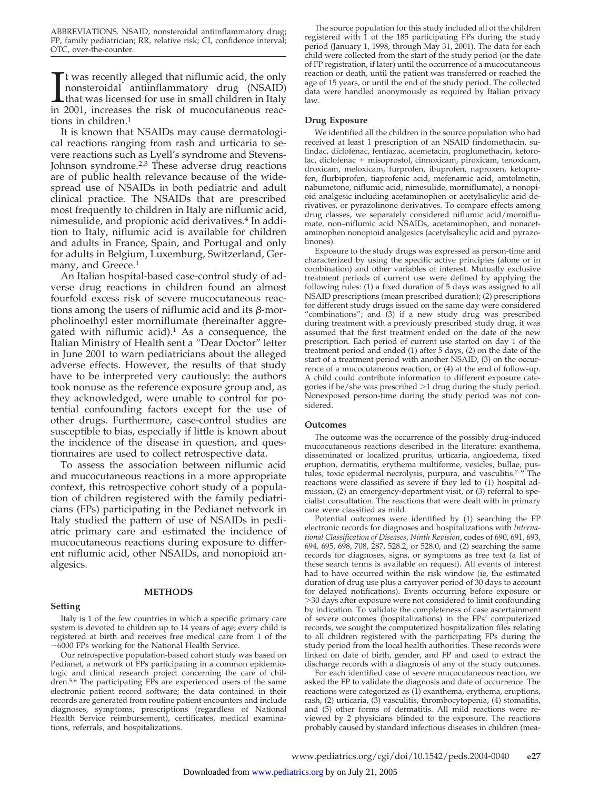ABBREVIATIONS. NSAID, nonsteroidal antiinflammatory drug; FP, family pediatrician; RR, relative risk; CI, confidence interval; OTC, over-the-counter.

It was recently alleged that niflumic acid, the only nonsteroidal antiinflammatory drug (NSAID) that was licensed for use in small children in Italy in 2001, increases the risk of mucocutaneous react was recently alleged that niflumic acid, the only nonsteroidal antiinflammatory drug (NSAID) that was licensed for use in small children in Italy tions in children.<sup>1</sup>

It is known that NSAIDs may cause dermatological reactions ranging from rash and urticaria to severe reactions such as Lyell's syndrome and Stevens-Johnson syndrome.<sup>2,3</sup> These adverse drug reactions are of public health relevance because of the widespread use of NSAIDs in both pediatric and adult clinical practice. The NSAIDs that are prescribed most frequently to children in Italy are niflumic acid, nimesulide, and propionic acid derivatives.4 In addition to Italy, niflumic acid is available for children and adults in France, Spain, and Portugal and only for adults in Belgium, Luxemburg, Switzerland, Germany, and Greece.<sup>1</sup>

An Italian hospital-based case-control study of adverse drug reactions in children found an almost fourfold excess risk of severe mucocutaneous reactions among the users of niflumic acid and its  $\beta$ -morpholinoethyl ester morniflumate (hereinafter aggregated with niflumic acid). $<sup>1</sup>$  As a consequence, the</sup> Italian Ministry of Health sent a "Dear Doctor" letter in June 2001 to warn pediatricians about the alleged adverse effects. However, the results of that study have to be interpreted very cautiously: the authors took nonuse as the reference exposure group and, as they acknowledged, were unable to control for potential confounding factors except for the use of other drugs. Furthermore, case-control studies are susceptible to bias, especially if little is known about the incidence of the disease in question, and questionnaires are used to collect retrospective data.

To assess the association between niflumic acid and mucocutaneous reactions in a more appropriate context, this retrospective cohort study of a population of children registered with the family pediatricians (FPs) participating in the Pedianet network in Italy studied the pattern of use of NSAIDs in pediatric primary care and estimated the incidence of mucocutaneous reactions during exposure to different niflumic acid, other NSAIDs, and nonopioid analgesics.

# **METHODS**

# **Setting**

Italy is 1 of the few countries in which a specific primary care system is devoted to children up to 14 years of age; every child is registered at birth and receives free medical care from 1 of the

6000 FPs working for the National Health Service. Our retrospective population-based cohort study was based on Pedianet, a network of FPs participating in a common epidemiologic and clinical research project concerning the care of children.<sup>5,6</sup> The participating FPs are experienced users of the same electronic patient record software; the data contained in their records are generated from routine patient encounters and include diagnoses, symptoms, prescriptions (regardless of National Health Service reimbursement), certificates, medical examinations, referrals, and hospitalizations.

The source population for this study included all of the children registered with 1 of the 185 participating FPs during the study period (January 1, 1998, through May 31, 2001). The data for each child were collected from the start of the study period (or the date of FP registration, if later) until the occurrence of a mucocutaneous reaction or death, until the patient was transferred or reached the age of 15 years, or until the end of the study period. The collected data were handled anonymously as required by Italian privacy law.

# **Drug Exposure**

We identified all the children in the source population who had received at least 1 prescription of an NSAID (indomethacin, sulindac, diclofenac, fentiazac, acemetacin, proglumethacin, ketorolac, diclofenac + misoprostol, cinnoxicam, piroxicam, tenoxicam, droxicam, meloxicam, furprofen, ibuprofen, naproxen, ketoprofen, flurbiprofen, tiaprofenic acid, mefenamic acid, amtolmetin, nabumetone, niflumic acid, nimesulide, morniflumate), a nonopioid analgesic including acetaminophen or acetylsalicylic acid derivatives, or pyrazolinone derivatives. To compare effects among drug classes, we separately considered niflumic acid/morniflumate, non–niflumic acid NSAIDs, acetaminophen, and nonacetaminophen nonopioid analgesics (acetylsalicylic acid and pyrazolinones).

Exposure to the study drugs was expressed as person-time and characterized by using the specific active principles (alone or in combination) and other variables of interest. Mutually exclusive treatment periods of current use were defined by applying the following rules: (1) a fixed duration of 5 days was assigned to all NSAID prescriptions (mean prescribed duration); (2) prescriptions for different study drugs issued on the same day were considered "combinations"; and  $(3)$  if a new study drug was prescribed during treatment with a previously prescribed study drug, it was assumed that the first treatment ended on the date of the new prescription. Each period of current use started on day 1 of the treatment period and ended (1) after 5 days, (2) on the date of the start of a treatment period with another NSAID, (3) on the occurrence of a mucocutaneous reaction, or (4) at the end of follow-up. A child could contribute information to different exposure categories if he/she was prescribed  $>1$  drug during the study period. Nonexposed person-time during the study period was not considered.

#### **Outcomes**

The outcome was the occurrence of the possibly drug-induced mucocutaneous reactions described in the literature: exanthema, disseminated or localized pruritus, urticaria, angioedema, fixed eruption, dermatitis, erythema multiforme, vesicles, bullae, pus-<br>tules, toxic epidermal necrolysis, purpura, and vasculitis<sup>7-9</sup> The tules, toxic epidermal necrolysis, purpura, and vasculitis.<sup>7-9</sup> reactions were classified as severe if they led to (1) hospital admission, (2) an emergency-department visit, or (3) referral to specialist consultation. The reactions that were dealt with in primary care were classified as mild.

Potential outcomes were identified by (1) searching the FP electronic records for diagnoses and hospitalizations with *International Classification of Diseases, Ninth Revision*, codes of 690, 691, 693, 694, 695, 698, 708, 287, 528.2, or 528.0, and (2) searching the same records for diagnoses, signs, or symptoms as free text (a list of these search terms is available on request). All events of interest had to have occurred within the risk window (ie, the estimated duration of drug use plus a carryover period of 30 days to account for delayed notifications). Events occurring before exposure or 30 days after exposure were not considered to limit confounding by indication. To validate the completeness of case ascertainment of severe outcomes (hospitalizations) in the FPs' computerized records, we sought the computerized hospitalization files relating to all children registered with the participating FPs during the study period from the local health authorities. These records were linked on date of birth, gender, and FP and used to extract the discharge records with a diagnosis of any of the study outcomes.

For each identified case of severe mucocutaneous reaction, we asked the FP to validate the diagnosis and date of occurrence. The reactions were categorized as (1) exanthema, erythema, eruptions, rash, (2) urticaria, (3) vasculitis, thrombocytopenia, (4) stomatitis, and (5) other forms of dermatitis. All mild reactions were reviewed by 2 physicians blinded to the exposure. The reactions probably caused by standard infectious diseases in children (mea-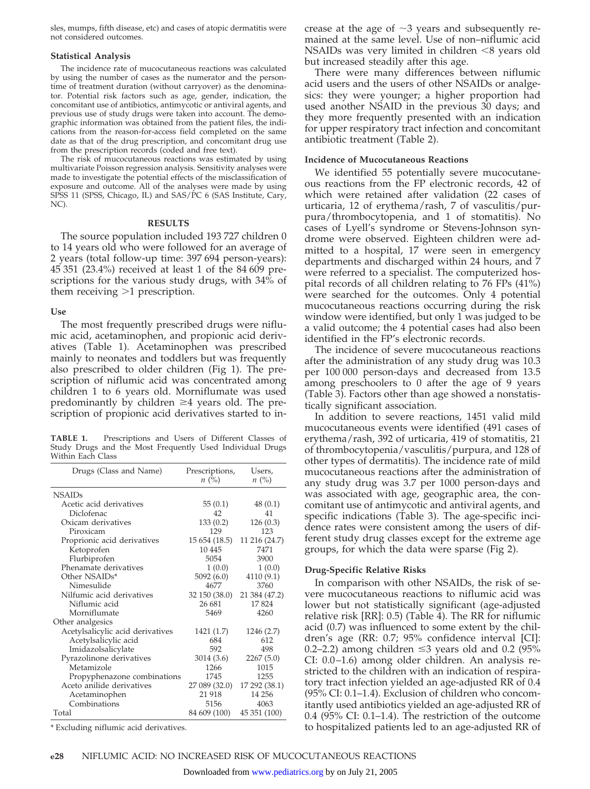sles, mumps, fifth disease, etc) and cases of atopic dermatitis were not considered outcomes.

#### **Statistical Analysis**

The incidence rate of mucocutaneous reactions was calculated by using the number of cases as the numerator and the persontime of treatment duration (without carryover) as the denominator. Potential risk factors such as age, gender, indication, the concomitant use of antibiotics, antimycotic or antiviral agents, and previous use of study drugs were taken into account. The demographic information was obtained from the patient files, the indications from the reason-for-access field completed on the same date as that of the drug prescription, and concomitant drug use from the prescription records (coded and free text).

The risk of mucocutaneous reactions was estimated by using multivariate Poisson regression analysis. Sensitivity analyses were made to investigate the potential effects of the misclassification of exposure and outcome. All of the analyses were made by using SPSS 11 (SPSS, Chicago, IL) and SAS/PC 6 (SAS Institute, Cary, NC).

# **RESULTS**

The source population included 193 727 children 0 to 14 years old who were followed for an average of 2 years (total follow-up time: 397 694 person-years): 45 351 (23.4%) received at least 1 of the 84 609 prescriptions for the various study drugs, with 34% of them receiving  $>1$  prescription.

# **Use**

The most frequently prescribed drugs were niflumic acid, acetaminophen, and propionic acid derivatives (Table 1). Acetaminophen was prescribed mainly to neonates and toddlers but was frequently also prescribed to older children (Fig 1). The prescription of niflumic acid was concentrated among children 1 to 6 years old. Morniflumate was used predominantly by children  $\geq 4$  years old. The prescription of propionic acid derivatives started to in-

**TABLE 1.** Prescriptions and Users of Different Classes of Study Drugs and the Most Frequently Used Individual Drugs Within Each Class

| Drugs (Class and Name)           | Prescriptions,<br>$n \ (\%)$ | Users,<br>$n \ (\%)$ |
|----------------------------------|------------------------------|----------------------|
| <b>NSAIDs</b>                    |                              |                      |
| Acetic acid derivatives          | 55(0.1)                      | 48(0.1)              |
| Diclofenac                       | 42                           | 41                   |
| Oxicam derivatives               | 133(0.2)                     | 126(0.3)             |
| Piroxicam                        | 129                          | 123                  |
| Proprionic acid derivatives      | 15 654 (18.5)                | 11 216 (24.7)        |
| Ketoprofen                       | 10445                        | 7471                 |
| Flurbiprofen                     | 5054                         | 3900                 |
| Phenamate derivatives            | 1(0.0)                       | 1(0.0)               |
| Other NSAIDs*                    | 5092(6.0)                    | 4110 (9.1)           |
| Nimesulide                       | 4677                         | 3760                 |
| Nilfumic acid derivatives        | 32 150 (38.0)                | 21 384 (47.2)        |
| Niflumic acid                    | 26 681                       | 17824                |
| Morniflumate                     | 5469                         | 4260                 |
| Other analgesics                 |                              |                      |
| Acetylsalicylic acid derivatives | 1421 (1.7)                   | 1246 (2.7)           |
| Acetylsalicylic acid             | 684                          | 612                  |
| Imidazolsalicylate               | 592                          | 498                  |
| Pyrazolinone derivatives         | 3014(3.6)                    | 2267(5.0)            |
| Metamizole                       | 1266                         | 1015                 |
| Propyphenazone combinations      | 1745                         | 1255                 |
| Aceto anilide derivatives        | 27 089 (32.0)                | 17 292 (38.1)        |
| Acetaminophen                    | 21 918                       | 14 25 6              |
| Combinations                     | 5156                         | 4063                 |
| Total                            | 84 609 (100)                 | 45 351 (100)         |

\* Excluding niflumic acid derivatives.

crease at the age of  $\sim$ 3 years and subsequently remained at the same level. Use of non–niflumic acid NSAIDs was very limited in children  $\leq 8$  years old but increased steadily after this age.

There were many differences between niflumic acid users and the users of other NSAIDs or analgesics: they were younger; a higher proportion had used another NSAID in the previous 30 days; and they more frequently presented with an indication for upper respiratory tract infection and concomitant antibiotic treatment (Table 2).

#### **Incidence of Mucocutaneous Reactions**

We identified 55 potentially severe mucocutaneous reactions from the FP electronic records, 42 of which were retained after validation (22 cases of urticaria, 12 of erythema/rash, 7 of vasculitis/purpura/thrombocytopenia, and 1 of stomatitis). No cases of Lyell's syndrome or Stevens-Johnson syndrome were observed. Eighteen children were admitted to a hospital, 17 were seen in emergency departments and discharged within 24 hours, and 7 were referred to a specialist. The computerized hospital records of all children relating to 76 FPs (41%) were searched for the outcomes. Only 4 potential mucocutaneous reactions occurring during the risk window were identified, but only 1 was judged to be a valid outcome; the 4 potential cases had also been identified in the FP's electronic records.

The incidence of severe mucocutaneous reactions after the administration of any study drug was 10.3 per 100 000 person-days and decreased from 13.5 among preschoolers to 0 after the age of 9 years (Table 3). Factors other than age showed a nonstatistically significant association.

In addition to severe reactions, 1451 valid mild mucocutaneous events were identified (491 cases of erythema/rash, 392 of urticaria, 419 of stomatitis, 21 of thrombocytopenia/vasculitis/purpura, and 128 of other types of dermatitis). The incidence rate of mild mucocutaneous reactions after the administration of any study drug was 3.7 per 1000 person-days and was associated with age, geographic area, the concomitant use of antimycotic and antiviral agents, and specific indications (Table 3). The age-specific incidence rates were consistent among the users of different study drug classes except for the extreme age groups, for which the data were sparse (Fig 2).

# **Drug-Specific Relative Risks**

In comparison with other NSAIDs, the risk of severe mucocutaneous reactions to niflumic acid was lower but not statistically significant (age-adjusted relative risk  $[RR]$ : 0.5) (Table 4). The RR for niflumic acid (0.7) was influenced to some extent by the children's age (RR: 0.7; 95% confidence interval [CI]: 0.2–2.2) among children  $\leq$ 3 years old and 0.2 (95% CI: 0.0 –1.6) among older children. An analysis restricted to the children with an indication of respiratory tract infection yielded an age-adjusted RR of 0.4 (95% CI: 0.1–1.4). Exclusion of children who concomitantly used antibiotics yielded an age-adjusted RR of 0.4 (95% CI: 0.1–1.4). The restriction of the outcome to hospitalized patients led to an age-adjusted RR of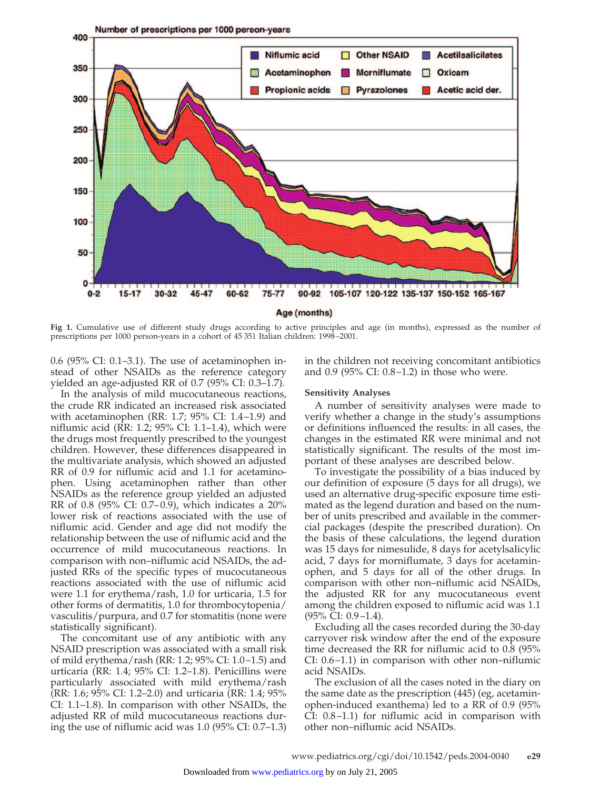

**Fig 1.** Cumulative use of different study drugs according to active principles and age (in months), expressed as the number of prescriptions per 1000 person-years in a cohort of 45 351 Italian children: 1998 –2001.

0.6 (95% CI: 0.1–3.1). The use of acetaminophen instead of other NSAIDs as the reference category yielded an age-adjusted RR of  $0.7$  (95% CI:  $0.3-\overline{1.7}$ ).

In the analysis of mild mucocutaneous reactions, the crude RR indicated an increased risk associated with acetaminophen (RR: 1.7; 95% CI: 1.4 –1.9) and niflumic acid (RR: 1.2; 95% CI: 1.1–1.4), which were the drugs most frequently prescribed to the youngest children. However, these differences disappeared in the multivariate analysis, which showed an adjusted RR of 0.9 for niflumic acid and 1.1 for acetaminophen. Using acetaminophen rather than other NSAIDs as the reference group yielded an adjusted RR of 0.8 (95% CI: 0.7– 0.9), which indicates a 20% lower risk of reactions associated with the use of niflumic acid. Gender and age did not modify the relationship between the use of niflumic acid and the occurrence of mild mucocutaneous reactions. In comparison with non–niflumic acid NSAIDs, the adjusted RRs of the specific types of mucocutaneous reactions associated with the use of niflumic acid were 1.1 for erythema/rash, 1.0 for urticaria, 1.5 for other forms of dermatitis, 1.0 for thrombocytopenia/ vasculitis/purpura, and 0.7 for stomatitis (none were statistically significant).

The concomitant use of any antibiotic with any NSAID prescription was associated with a small risk of mild erythema/rash (RR: 1.2; 95% CI: 1.0 –1.5) and urticaria (RR: 1.4; 95% CI: 1.2–1.8). Penicillins were particularly associated with mild erythema/rash (RR: 1.6; 95% CI: 1.2–2.0) and urticaria (RR: 1.4; 95% CI: 1.1–1.8). In comparison with other NSAIDs, the adjusted RR of mild mucocutaneous reactions during the use of niflumic acid was 1.0 (95% CI: 0.7–1.3) in the children not receiving concomitant antibiotics and 0.9 (95% CI: 0.8 –1.2) in those who were.

# **Sensitivity Analyses**

A number of sensitivity analyses were made to verify whether a change in the study's assumptions or definitions influenced the results: in all cases, the changes in the estimated RR were minimal and not statistically significant. The results of the most important of these analyses are described below.

To investigate the possibility of a bias induced by our definition of exposure (5 days for all drugs), we used an alternative drug-specific exposure time estimated as the legend duration and based on the number of units prescribed and available in the commercial packages (despite the prescribed duration). On the basis of these calculations, the legend duration was 15 days for nimesulide, 8 days for acetylsalicylic acid, 7 days for morniflumate, 3 days for acetaminophen, and 5 days for all of the other drugs. In comparison with other non–niflumic acid NSAIDs, the adjusted RR for any mucocutaneous event among the children exposed to niflumic acid was 1.1  $(95\% \text{ CI: } 0.9-1.4).$ 

Excluding all the cases recorded during the 30-day carryover risk window after the end of the exposure time decreased the RR for niflumic acid to 0.8 (95% CI: 0.6 –1.1) in comparison with other non–niflumic acid NSAIDs.

The exclusion of all the cases noted in the diary on the same date as the prescription (445) (eg, acetaminophen-induced exanthema) led to a RR of 0.9 (95% CI: 0.8 –1.1) for niflumic acid in comparison with other non–niflumic acid NSAIDs.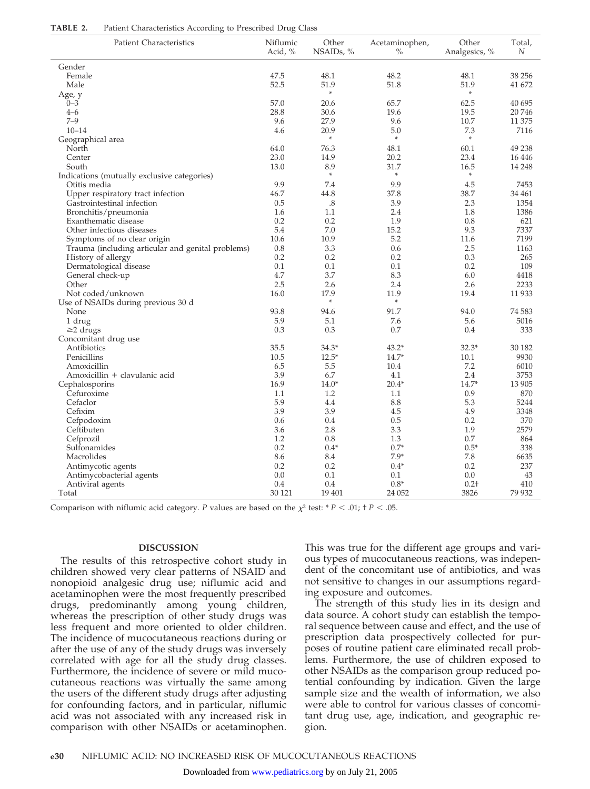| TABLE 2. | Patient Characteristics According to Prescribed Drug Class |  |  |  |  |
|----------|------------------------------------------------------------|--|--|--|--|
|----------|------------------------------------------------------------|--|--|--|--|

| Gender<br>Female<br>47.5<br>48.1<br>48.2<br>48.1<br>38 256<br>Male<br>52.5<br>51.9<br>51.8<br>51.9<br>41 672<br>÷<br>÷<br>Age, y<br>57.0<br>20.6<br>65.7<br>62.5<br>40 695<br>$0 - 3$<br>28.8<br>19.5<br>$4 - 6$<br>30.6<br>19.6<br>20746<br>$7 - 9$<br>9.6<br>27.9<br>9.6<br>10.7<br>11 375<br>$10 - 14$<br>20.9<br>5.0<br>7.3<br>7116<br>4.6<br>÷<br>÷<br>×<br>Geographical area<br>76.3<br>48.1<br>60.1<br>49 238<br>64.0<br>North<br>23.0<br>20.2<br>23.4<br>Center<br>14.9<br>16 4 46<br>South<br>13.0<br>8.9<br>31.7<br>16.5<br>14 248<br>×<br>÷<br>÷<br>Indications (mutually exclusive categories)<br>9.9<br>9.9<br>7.4<br>4.5<br>7453<br>Otitis media<br>38.7<br>Upper respiratory tract infection<br>46.7<br>44.8<br>37.8<br>34 461<br>0.5<br>$.8\,$<br>3.9<br>2.3<br>1354<br>Gastrointestinal infection<br>1.1<br>2.4<br>1.8<br>1386<br>Bronchitis/pneumonia<br>1.6<br>0.2<br>0.2<br>1.9<br>0.8<br>621<br>Exanthematic disease<br>5.4<br>7.0<br>9.3<br>15.2<br>7337<br>Other infectious diseases<br>5.2<br>10.6<br>10.9<br>11.6<br>7199<br>Symptoms of no clear origin<br>0.8<br>3.3<br>2.5<br>Trauma (including articular and genital problems)<br>0.6<br>1163<br>0.2<br>0.3<br>0.2<br>0.2<br>265<br>History of allergy<br>0.1<br>0.1<br>0.1<br>0.2<br>109<br>Dermatological disease<br>4.7<br>3.7<br>8.3<br>6.0<br>General check-up<br>4418<br>2.5<br>2.6<br>2233<br>Other<br>2.4<br>2.6<br>17.9<br>11.9<br>19.4<br>11 933<br>Not coded/unknown<br>16.0<br>÷<br>÷<br>Use of NSAIDs during previous 30 d<br>None<br>93.8<br>94.6<br>91.7<br>94.0<br>74 583<br>5.9<br>5.6<br>5.1<br>7.6<br>5016<br>1 drug<br>0.3<br>0.7<br>0.4<br>333<br>0.3<br>$\geq$ 2 drugs<br>Concomitant drug use<br>35.5<br>$34.3*$<br>$32.3*$<br>30 182<br>Antibiotics<br>$43.2*$<br>Penicillins<br>10.5<br>$12.5*$<br>$14.7*$<br>10.1<br>9930<br>7.2<br>6010<br>Amoxicillin<br>6.5<br>5.5<br>10.4<br>Amoxicillin + clavulanic acid<br>3.9<br>6.7<br>2.4<br>3753<br>4.1<br>13 905<br>16.9<br>$14.0*$<br>$20.4*$<br>$14.7*$<br>Cephalosporins<br>0.9<br>870<br>Cefuroxime<br>1.1<br>1.2<br>1.1<br>5.9<br>5.3<br>Cefaclor<br>4.4<br>8.8<br>5244<br>3.9<br>3.9<br>4.5<br>4.9<br>3348<br>Cefixim<br>0.6<br>0.5<br>0.2<br>370<br>Cefpodoxim<br>0.4<br>3.6<br>2.8<br>3.3<br>1.9<br>2579<br>Ceftibuten<br>1.2<br>1.3<br>864<br>Cefprozil<br>0.8<br>0.7<br>$0.5*$<br>Sulfonamides<br>0.2<br>$0.4*$<br>$0.7*$<br>338<br>$7.9*$<br>8.6<br>7.8<br>6635<br>Macrolides<br>8.4<br>0.2<br>0.2<br>$0.4*$<br>0.2<br>237<br>Antimycotic agents<br>0.0<br>0.1<br>0.0<br>43<br>0.1<br>Antimycobacterial agents<br>$0.8*$<br>410<br>Antiviral agents<br>0.4<br>0.4<br>$0.2 +$<br>79 932<br>30 121<br>19 401<br>24 052<br>3826<br>Total | <b>Patient Characteristics</b> | Niflumic<br>Acid, % | Other<br>NSAID <sub>s</sub> , % | Acetaminophen,<br>$\%$ | Other<br>Analgesics, % | Total,<br>N |
|-----------------------------------------------------------------------------------------------------------------------------------------------------------------------------------------------------------------------------------------------------------------------------------------------------------------------------------------------------------------------------------------------------------------------------------------------------------------------------------------------------------------------------------------------------------------------------------------------------------------------------------------------------------------------------------------------------------------------------------------------------------------------------------------------------------------------------------------------------------------------------------------------------------------------------------------------------------------------------------------------------------------------------------------------------------------------------------------------------------------------------------------------------------------------------------------------------------------------------------------------------------------------------------------------------------------------------------------------------------------------------------------------------------------------------------------------------------------------------------------------------------------------------------------------------------------------------------------------------------------------------------------------------------------------------------------------------------------------------------------------------------------------------------------------------------------------------------------------------------------------------------------------------------------------------------------------------------------------------------------------------------------------------------------------------------------------------------------------------------------------------------------------------------------------------------------------------------------------------------------------------------------------------------------------------------------------------------------------------------------------------------------------------------------------------------------------------------------------------------------------------------------------------------------------------------------------------------------------------------------------------------------------------------------------------------------------------|--------------------------------|---------------------|---------------------------------|------------------------|------------------------|-------------|
|                                                                                                                                                                                                                                                                                                                                                                                                                                                                                                                                                                                                                                                                                                                                                                                                                                                                                                                                                                                                                                                                                                                                                                                                                                                                                                                                                                                                                                                                                                                                                                                                                                                                                                                                                                                                                                                                                                                                                                                                                                                                                                                                                                                                                                                                                                                                                                                                                                                                                                                                                                                                                                                                                                     |                                |                     |                                 |                        |                        |             |
|                                                                                                                                                                                                                                                                                                                                                                                                                                                                                                                                                                                                                                                                                                                                                                                                                                                                                                                                                                                                                                                                                                                                                                                                                                                                                                                                                                                                                                                                                                                                                                                                                                                                                                                                                                                                                                                                                                                                                                                                                                                                                                                                                                                                                                                                                                                                                                                                                                                                                                                                                                                                                                                                                                     |                                |                     |                                 |                        |                        |             |
|                                                                                                                                                                                                                                                                                                                                                                                                                                                                                                                                                                                                                                                                                                                                                                                                                                                                                                                                                                                                                                                                                                                                                                                                                                                                                                                                                                                                                                                                                                                                                                                                                                                                                                                                                                                                                                                                                                                                                                                                                                                                                                                                                                                                                                                                                                                                                                                                                                                                                                                                                                                                                                                                                                     |                                |                     |                                 |                        |                        |             |
|                                                                                                                                                                                                                                                                                                                                                                                                                                                                                                                                                                                                                                                                                                                                                                                                                                                                                                                                                                                                                                                                                                                                                                                                                                                                                                                                                                                                                                                                                                                                                                                                                                                                                                                                                                                                                                                                                                                                                                                                                                                                                                                                                                                                                                                                                                                                                                                                                                                                                                                                                                                                                                                                                                     |                                |                     |                                 |                        |                        |             |
|                                                                                                                                                                                                                                                                                                                                                                                                                                                                                                                                                                                                                                                                                                                                                                                                                                                                                                                                                                                                                                                                                                                                                                                                                                                                                                                                                                                                                                                                                                                                                                                                                                                                                                                                                                                                                                                                                                                                                                                                                                                                                                                                                                                                                                                                                                                                                                                                                                                                                                                                                                                                                                                                                                     |                                |                     |                                 |                        |                        |             |
|                                                                                                                                                                                                                                                                                                                                                                                                                                                                                                                                                                                                                                                                                                                                                                                                                                                                                                                                                                                                                                                                                                                                                                                                                                                                                                                                                                                                                                                                                                                                                                                                                                                                                                                                                                                                                                                                                                                                                                                                                                                                                                                                                                                                                                                                                                                                                                                                                                                                                                                                                                                                                                                                                                     |                                |                     |                                 |                        |                        |             |
|                                                                                                                                                                                                                                                                                                                                                                                                                                                                                                                                                                                                                                                                                                                                                                                                                                                                                                                                                                                                                                                                                                                                                                                                                                                                                                                                                                                                                                                                                                                                                                                                                                                                                                                                                                                                                                                                                                                                                                                                                                                                                                                                                                                                                                                                                                                                                                                                                                                                                                                                                                                                                                                                                                     |                                |                     |                                 |                        |                        |             |
|                                                                                                                                                                                                                                                                                                                                                                                                                                                                                                                                                                                                                                                                                                                                                                                                                                                                                                                                                                                                                                                                                                                                                                                                                                                                                                                                                                                                                                                                                                                                                                                                                                                                                                                                                                                                                                                                                                                                                                                                                                                                                                                                                                                                                                                                                                                                                                                                                                                                                                                                                                                                                                                                                                     |                                |                     |                                 |                        |                        |             |
|                                                                                                                                                                                                                                                                                                                                                                                                                                                                                                                                                                                                                                                                                                                                                                                                                                                                                                                                                                                                                                                                                                                                                                                                                                                                                                                                                                                                                                                                                                                                                                                                                                                                                                                                                                                                                                                                                                                                                                                                                                                                                                                                                                                                                                                                                                                                                                                                                                                                                                                                                                                                                                                                                                     |                                |                     |                                 |                        |                        |             |
|                                                                                                                                                                                                                                                                                                                                                                                                                                                                                                                                                                                                                                                                                                                                                                                                                                                                                                                                                                                                                                                                                                                                                                                                                                                                                                                                                                                                                                                                                                                                                                                                                                                                                                                                                                                                                                                                                                                                                                                                                                                                                                                                                                                                                                                                                                                                                                                                                                                                                                                                                                                                                                                                                                     |                                |                     |                                 |                        |                        |             |
|                                                                                                                                                                                                                                                                                                                                                                                                                                                                                                                                                                                                                                                                                                                                                                                                                                                                                                                                                                                                                                                                                                                                                                                                                                                                                                                                                                                                                                                                                                                                                                                                                                                                                                                                                                                                                                                                                                                                                                                                                                                                                                                                                                                                                                                                                                                                                                                                                                                                                                                                                                                                                                                                                                     |                                |                     |                                 |                        |                        |             |
|                                                                                                                                                                                                                                                                                                                                                                                                                                                                                                                                                                                                                                                                                                                                                                                                                                                                                                                                                                                                                                                                                                                                                                                                                                                                                                                                                                                                                                                                                                                                                                                                                                                                                                                                                                                                                                                                                                                                                                                                                                                                                                                                                                                                                                                                                                                                                                                                                                                                                                                                                                                                                                                                                                     |                                |                     |                                 |                        |                        |             |
|                                                                                                                                                                                                                                                                                                                                                                                                                                                                                                                                                                                                                                                                                                                                                                                                                                                                                                                                                                                                                                                                                                                                                                                                                                                                                                                                                                                                                                                                                                                                                                                                                                                                                                                                                                                                                                                                                                                                                                                                                                                                                                                                                                                                                                                                                                                                                                                                                                                                                                                                                                                                                                                                                                     |                                |                     |                                 |                        |                        |             |
|                                                                                                                                                                                                                                                                                                                                                                                                                                                                                                                                                                                                                                                                                                                                                                                                                                                                                                                                                                                                                                                                                                                                                                                                                                                                                                                                                                                                                                                                                                                                                                                                                                                                                                                                                                                                                                                                                                                                                                                                                                                                                                                                                                                                                                                                                                                                                                                                                                                                                                                                                                                                                                                                                                     |                                |                     |                                 |                        |                        |             |
|                                                                                                                                                                                                                                                                                                                                                                                                                                                                                                                                                                                                                                                                                                                                                                                                                                                                                                                                                                                                                                                                                                                                                                                                                                                                                                                                                                                                                                                                                                                                                                                                                                                                                                                                                                                                                                                                                                                                                                                                                                                                                                                                                                                                                                                                                                                                                                                                                                                                                                                                                                                                                                                                                                     |                                |                     |                                 |                        |                        |             |
|                                                                                                                                                                                                                                                                                                                                                                                                                                                                                                                                                                                                                                                                                                                                                                                                                                                                                                                                                                                                                                                                                                                                                                                                                                                                                                                                                                                                                                                                                                                                                                                                                                                                                                                                                                                                                                                                                                                                                                                                                                                                                                                                                                                                                                                                                                                                                                                                                                                                                                                                                                                                                                                                                                     |                                |                     |                                 |                        |                        |             |
|                                                                                                                                                                                                                                                                                                                                                                                                                                                                                                                                                                                                                                                                                                                                                                                                                                                                                                                                                                                                                                                                                                                                                                                                                                                                                                                                                                                                                                                                                                                                                                                                                                                                                                                                                                                                                                                                                                                                                                                                                                                                                                                                                                                                                                                                                                                                                                                                                                                                                                                                                                                                                                                                                                     |                                |                     |                                 |                        |                        |             |
|                                                                                                                                                                                                                                                                                                                                                                                                                                                                                                                                                                                                                                                                                                                                                                                                                                                                                                                                                                                                                                                                                                                                                                                                                                                                                                                                                                                                                                                                                                                                                                                                                                                                                                                                                                                                                                                                                                                                                                                                                                                                                                                                                                                                                                                                                                                                                                                                                                                                                                                                                                                                                                                                                                     |                                |                     |                                 |                        |                        |             |
|                                                                                                                                                                                                                                                                                                                                                                                                                                                                                                                                                                                                                                                                                                                                                                                                                                                                                                                                                                                                                                                                                                                                                                                                                                                                                                                                                                                                                                                                                                                                                                                                                                                                                                                                                                                                                                                                                                                                                                                                                                                                                                                                                                                                                                                                                                                                                                                                                                                                                                                                                                                                                                                                                                     |                                |                     |                                 |                        |                        |             |
|                                                                                                                                                                                                                                                                                                                                                                                                                                                                                                                                                                                                                                                                                                                                                                                                                                                                                                                                                                                                                                                                                                                                                                                                                                                                                                                                                                                                                                                                                                                                                                                                                                                                                                                                                                                                                                                                                                                                                                                                                                                                                                                                                                                                                                                                                                                                                                                                                                                                                                                                                                                                                                                                                                     |                                |                     |                                 |                        |                        |             |
|                                                                                                                                                                                                                                                                                                                                                                                                                                                                                                                                                                                                                                                                                                                                                                                                                                                                                                                                                                                                                                                                                                                                                                                                                                                                                                                                                                                                                                                                                                                                                                                                                                                                                                                                                                                                                                                                                                                                                                                                                                                                                                                                                                                                                                                                                                                                                                                                                                                                                                                                                                                                                                                                                                     |                                |                     |                                 |                        |                        |             |
|                                                                                                                                                                                                                                                                                                                                                                                                                                                                                                                                                                                                                                                                                                                                                                                                                                                                                                                                                                                                                                                                                                                                                                                                                                                                                                                                                                                                                                                                                                                                                                                                                                                                                                                                                                                                                                                                                                                                                                                                                                                                                                                                                                                                                                                                                                                                                                                                                                                                                                                                                                                                                                                                                                     |                                |                     |                                 |                        |                        |             |
|                                                                                                                                                                                                                                                                                                                                                                                                                                                                                                                                                                                                                                                                                                                                                                                                                                                                                                                                                                                                                                                                                                                                                                                                                                                                                                                                                                                                                                                                                                                                                                                                                                                                                                                                                                                                                                                                                                                                                                                                                                                                                                                                                                                                                                                                                                                                                                                                                                                                                                                                                                                                                                                                                                     |                                |                     |                                 |                        |                        |             |
|                                                                                                                                                                                                                                                                                                                                                                                                                                                                                                                                                                                                                                                                                                                                                                                                                                                                                                                                                                                                                                                                                                                                                                                                                                                                                                                                                                                                                                                                                                                                                                                                                                                                                                                                                                                                                                                                                                                                                                                                                                                                                                                                                                                                                                                                                                                                                                                                                                                                                                                                                                                                                                                                                                     |                                |                     |                                 |                        |                        |             |
|                                                                                                                                                                                                                                                                                                                                                                                                                                                                                                                                                                                                                                                                                                                                                                                                                                                                                                                                                                                                                                                                                                                                                                                                                                                                                                                                                                                                                                                                                                                                                                                                                                                                                                                                                                                                                                                                                                                                                                                                                                                                                                                                                                                                                                                                                                                                                                                                                                                                                                                                                                                                                                                                                                     |                                |                     |                                 |                        |                        |             |
|                                                                                                                                                                                                                                                                                                                                                                                                                                                                                                                                                                                                                                                                                                                                                                                                                                                                                                                                                                                                                                                                                                                                                                                                                                                                                                                                                                                                                                                                                                                                                                                                                                                                                                                                                                                                                                                                                                                                                                                                                                                                                                                                                                                                                                                                                                                                                                                                                                                                                                                                                                                                                                                                                                     |                                |                     |                                 |                        |                        |             |
|                                                                                                                                                                                                                                                                                                                                                                                                                                                                                                                                                                                                                                                                                                                                                                                                                                                                                                                                                                                                                                                                                                                                                                                                                                                                                                                                                                                                                                                                                                                                                                                                                                                                                                                                                                                                                                                                                                                                                                                                                                                                                                                                                                                                                                                                                                                                                                                                                                                                                                                                                                                                                                                                                                     |                                |                     |                                 |                        |                        |             |
|                                                                                                                                                                                                                                                                                                                                                                                                                                                                                                                                                                                                                                                                                                                                                                                                                                                                                                                                                                                                                                                                                                                                                                                                                                                                                                                                                                                                                                                                                                                                                                                                                                                                                                                                                                                                                                                                                                                                                                                                                                                                                                                                                                                                                                                                                                                                                                                                                                                                                                                                                                                                                                                                                                     |                                |                     |                                 |                        |                        |             |
|                                                                                                                                                                                                                                                                                                                                                                                                                                                                                                                                                                                                                                                                                                                                                                                                                                                                                                                                                                                                                                                                                                                                                                                                                                                                                                                                                                                                                                                                                                                                                                                                                                                                                                                                                                                                                                                                                                                                                                                                                                                                                                                                                                                                                                                                                                                                                                                                                                                                                                                                                                                                                                                                                                     |                                |                     |                                 |                        |                        |             |
|                                                                                                                                                                                                                                                                                                                                                                                                                                                                                                                                                                                                                                                                                                                                                                                                                                                                                                                                                                                                                                                                                                                                                                                                                                                                                                                                                                                                                                                                                                                                                                                                                                                                                                                                                                                                                                                                                                                                                                                                                                                                                                                                                                                                                                                                                                                                                                                                                                                                                                                                                                                                                                                                                                     |                                |                     |                                 |                        |                        |             |
|                                                                                                                                                                                                                                                                                                                                                                                                                                                                                                                                                                                                                                                                                                                                                                                                                                                                                                                                                                                                                                                                                                                                                                                                                                                                                                                                                                                                                                                                                                                                                                                                                                                                                                                                                                                                                                                                                                                                                                                                                                                                                                                                                                                                                                                                                                                                                                                                                                                                                                                                                                                                                                                                                                     |                                |                     |                                 |                        |                        |             |
|                                                                                                                                                                                                                                                                                                                                                                                                                                                                                                                                                                                                                                                                                                                                                                                                                                                                                                                                                                                                                                                                                                                                                                                                                                                                                                                                                                                                                                                                                                                                                                                                                                                                                                                                                                                                                                                                                                                                                                                                                                                                                                                                                                                                                                                                                                                                                                                                                                                                                                                                                                                                                                                                                                     |                                |                     |                                 |                        |                        |             |
|                                                                                                                                                                                                                                                                                                                                                                                                                                                                                                                                                                                                                                                                                                                                                                                                                                                                                                                                                                                                                                                                                                                                                                                                                                                                                                                                                                                                                                                                                                                                                                                                                                                                                                                                                                                                                                                                                                                                                                                                                                                                                                                                                                                                                                                                                                                                                                                                                                                                                                                                                                                                                                                                                                     |                                |                     |                                 |                        |                        |             |
|                                                                                                                                                                                                                                                                                                                                                                                                                                                                                                                                                                                                                                                                                                                                                                                                                                                                                                                                                                                                                                                                                                                                                                                                                                                                                                                                                                                                                                                                                                                                                                                                                                                                                                                                                                                                                                                                                                                                                                                                                                                                                                                                                                                                                                                                                                                                                                                                                                                                                                                                                                                                                                                                                                     |                                |                     |                                 |                        |                        |             |
|                                                                                                                                                                                                                                                                                                                                                                                                                                                                                                                                                                                                                                                                                                                                                                                                                                                                                                                                                                                                                                                                                                                                                                                                                                                                                                                                                                                                                                                                                                                                                                                                                                                                                                                                                                                                                                                                                                                                                                                                                                                                                                                                                                                                                                                                                                                                                                                                                                                                                                                                                                                                                                                                                                     |                                |                     |                                 |                        |                        |             |
|                                                                                                                                                                                                                                                                                                                                                                                                                                                                                                                                                                                                                                                                                                                                                                                                                                                                                                                                                                                                                                                                                                                                                                                                                                                                                                                                                                                                                                                                                                                                                                                                                                                                                                                                                                                                                                                                                                                                                                                                                                                                                                                                                                                                                                                                                                                                                                                                                                                                                                                                                                                                                                                                                                     |                                |                     |                                 |                        |                        |             |
|                                                                                                                                                                                                                                                                                                                                                                                                                                                                                                                                                                                                                                                                                                                                                                                                                                                                                                                                                                                                                                                                                                                                                                                                                                                                                                                                                                                                                                                                                                                                                                                                                                                                                                                                                                                                                                                                                                                                                                                                                                                                                                                                                                                                                                                                                                                                                                                                                                                                                                                                                                                                                                                                                                     |                                |                     |                                 |                        |                        |             |
|                                                                                                                                                                                                                                                                                                                                                                                                                                                                                                                                                                                                                                                                                                                                                                                                                                                                                                                                                                                                                                                                                                                                                                                                                                                                                                                                                                                                                                                                                                                                                                                                                                                                                                                                                                                                                                                                                                                                                                                                                                                                                                                                                                                                                                                                                                                                                                                                                                                                                                                                                                                                                                                                                                     |                                |                     |                                 |                        |                        |             |
|                                                                                                                                                                                                                                                                                                                                                                                                                                                                                                                                                                                                                                                                                                                                                                                                                                                                                                                                                                                                                                                                                                                                                                                                                                                                                                                                                                                                                                                                                                                                                                                                                                                                                                                                                                                                                                                                                                                                                                                                                                                                                                                                                                                                                                                                                                                                                                                                                                                                                                                                                                                                                                                                                                     |                                |                     |                                 |                        |                        |             |
|                                                                                                                                                                                                                                                                                                                                                                                                                                                                                                                                                                                                                                                                                                                                                                                                                                                                                                                                                                                                                                                                                                                                                                                                                                                                                                                                                                                                                                                                                                                                                                                                                                                                                                                                                                                                                                                                                                                                                                                                                                                                                                                                                                                                                                                                                                                                                                                                                                                                                                                                                                                                                                                                                                     |                                |                     |                                 |                        |                        |             |
|                                                                                                                                                                                                                                                                                                                                                                                                                                                                                                                                                                                                                                                                                                                                                                                                                                                                                                                                                                                                                                                                                                                                                                                                                                                                                                                                                                                                                                                                                                                                                                                                                                                                                                                                                                                                                                                                                                                                                                                                                                                                                                                                                                                                                                                                                                                                                                                                                                                                                                                                                                                                                                                                                                     |                                |                     |                                 |                        |                        |             |
|                                                                                                                                                                                                                                                                                                                                                                                                                                                                                                                                                                                                                                                                                                                                                                                                                                                                                                                                                                                                                                                                                                                                                                                                                                                                                                                                                                                                                                                                                                                                                                                                                                                                                                                                                                                                                                                                                                                                                                                                                                                                                                                                                                                                                                                                                                                                                                                                                                                                                                                                                                                                                                                                                                     |                                |                     |                                 |                        |                        |             |
|                                                                                                                                                                                                                                                                                                                                                                                                                                                                                                                                                                                                                                                                                                                                                                                                                                                                                                                                                                                                                                                                                                                                                                                                                                                                                                                                                                                                                                                                                                                                                                                                                                                                                                                                                                                                                                                                                                                                                                                                                                                                                                                                                                                                                                                                                                                                                                                                                                                                                                                                                                                                                                                                                                     |                                |                     |                                 |                        |                        |             |
|                                                                                                                                                                                                                                                                                                                                                                                                                                                                                                                                                                                                                                                                                                                                                                                                                                                                                                                                                                                                                                                                                                                                                                                                                                                                                                                                                                                                                                                                                                                                                                                                                                                                                                                                                                                                                                                                                                                                                                                                                                                                                                                                                                                                                                                                                                                                                                                                                                                                                                                                                                                                                                                                                                     |                                |                     |                                 |                        |                        |             |
|                                                                                                                                                                                                                                                                                                                                                                                                                                                                                                                                                                                                                                                                                                                                                                                                                                                                                                                                                                                                                                                                                                                                                                                                                                                                                                                                                                                                                                                                                                                                                                                                                                                                                                                                                                                                                                                                                                                                                                                                                                                                                                                                                                                                                                                                                                                                                                                                                                                                                                                                                                                                                                                                                                     |                                |                     |                                 |                        |                        |             |
|                                                                                                                                                                                                                                                                                                                                                                                                                                                                                                                                                                                                                                                                                                                                                                                                                                                                                                                                                                                                                                                                                                                                                                                                                                                                                                                                                                                                                                                                                                                                                                                                                                                                                                                                                                                                                                                                                                                                                                                                                                                                                                                                                                                                                                                                                                                                                                                                                                                                                                                                                                                                                                                                                                     |                                |                     |                                 |                        |                        |             |
|                                                                                                                                                                                                                                                                                                                                                                                                                                                                                                                                                                                                                                                                                                                                                                                                                                                                                                                                                                                                                                                                                                                                                                                                                                                                                                                                                                                                                                                                                                                                                                                                                                                                                                                                                                                                                                                                                                                                                                                                                                                                                                                                                                                                                                                                                                                                                                                                                                                                                                                                                                                                                                                                                                     |                                |                     |                                 |                        |                        |             |
|                                                                                                                                                                                                                                                                                                                                                                                                                                                                                                                                                                                                                                                                                                                                                                                                                                                                                                                                                                                                                                                                                                                                                                                                                                                                                                                                                                                                                                                                                                                                                                                                                                                                                                                                                                                                                                                                                                                                                                                                                                                                                                                                                                                                                                                                                                                                                                                                                                                                                                                                                                                                                                                                                                     |                                |                     |                                 |                        |                        |             |

Comparison with niflumic acid category. *P* values are based on the  $\chi^2$  test: \* *P* < .01; + *P* < .05.

## **DISCUSSION**

The results of this retrospective cohort study in children showed very clear patterns of NSAID and nonopioid analgesic drug use; niflumic acid and acetaminophen were the most frequently prescribed drugs, predominantly among young children, whereas the prescription of other study drugs was less frequent and more oriented to older children. The incidence of mucocutaneous reactions during or after the use of any of the study drugs was inversely correlated with age for all the study drug classes. Furthermore, the incidence of severe or mild mucocutaneous reactions was virtually the same among the users of the different study drugs after adjusting for confounding factors, and in particular, niflumic acid was not associated with any increased risk in comparison with other NSAIDs or acetaminophen.

This was true for the different age groups and various types of mucocutaneous reactions, was independent of the concomitant use of antibiotics, and was not sensitive to changes in our assumptions regarding exposure and outcomes.

The strength of this study lies in its design and data source. A cohort study can establish the temporal sequence between cause and effect, and the use of prescription data prospectively collected for purposes of routine patient care eliminated recall problems. Furthermore, the use of children exposed to other NSAIDs as the comparison group reduced potential confounding by indication. Given the large sample size and the wealth of information, we also were able to control for various classes of concomitant drug use, age, indication, and geographic region.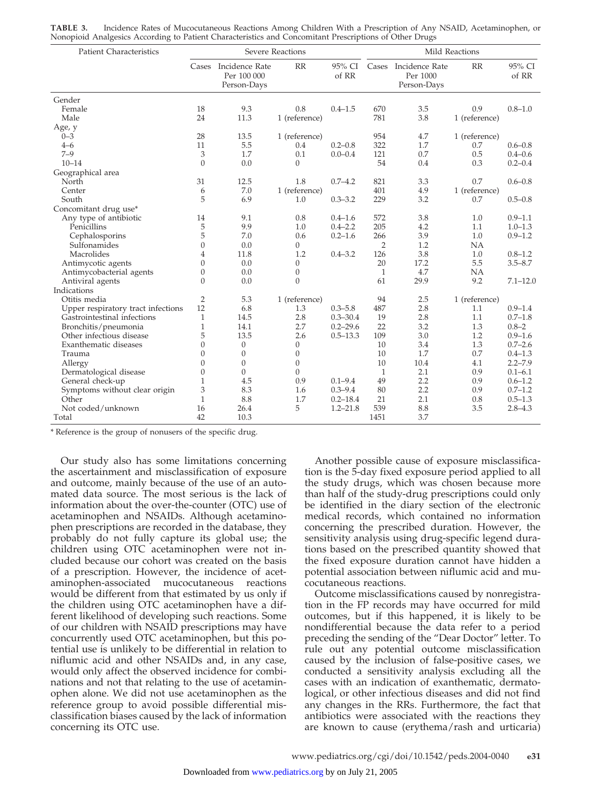| <b>Patient Characteristics</b>     | Severe Reactions |                                                    |                  |                 | Mild Reactions |                                           |               |                 |
|------------------------------------|------------------|----------------------------------------------------|------------------|-----------------|----------------|-------------------------------------------|---------------|-----------------|
|                                    |                  | Cases Incidence Rate<br>Per 100 000<br>Person-Days | RR               | 95% CI<br>of RR | Cases          | Incidence Rate<br>Per 1000<br>Person-Days | RR            | 95% CI<br>of RR |
| Gender                             |                  |                                                    |                  |                 |                |                                           |               |                 |
| Female                             | 18               | 9.3                                                | 0.8              | $0.4 - 1.5$     | 670            | 3.5                                       | 0.9           | $0.8 - 1.0$     |
| Male                               | 24               | 11.3                                               | 1 (reference)    |                 | 781            | 3.8                                       | 1 (reference) |                 |
| Age, y                             |                  |                                                    |                  |                 |                |                                           |               |                 |
| $0 - 3$                            | 28               | 13.5                                               | 1 (reference)    |                 | 954            | 4.7                                       | 1 (reference) |                 |
| $4 - 6$                            | 11               | 5.5                                                | 0.4              | $0.2 - 0.8$     | 322            | 1.7                                       | 0.7           | $0.6 - 0.8$     |
| $7 - 9$                            | 3                | 1.7                                                | 0.1              | $0.0 - 0.4$     | 121            | 0.7                                       | 0.5           | $0.4 - 0.6$     |
| $10 - 14$                          | $\overline{0}$   | 0.0                                                | $\overline{0}$   |                 | 54             | 0.4                                       | 0.3           | $0.2 - 0.4$     |
| Geographical area                  |                  |                                                    |                  |                 |                |                                           |               |                 |
| North                              | 31               | 12.5                                               | 1.8              | $0.7 - 4.2$     | 821            | 3.3                                       | 0.7           | $0.6 - 0.8$     |
| Center                             | 6                | 7.0                                                | 1 (reference)    |                 | 401            | 4.9                                       | 1 (reference) |                 |
| South                              | 5                | 6.9                                                | 1.0              | $0.3 - 3.2$     | 229            | 3.2                                       | 0.7           | $0.5 - 0.8$     |
| Concomitant drug use*              |                  |                                                    |                  |                 |                |                                           |               |                 |
| Any type of antibiotic             | 14               | 9.1                                                | 0.8              | $0.4 - 1.6$     | 572            | 3.8                                       | 1.0           | $0.9 - 1.1$     |
| Penicillins                        | 5                | 9.9                                                | 1.0              | $0.4 - 2.2$     | 205            | 4.2                                       | 1.1           | $1.0 - 1.3$     |
| Cephalosporins                     | 5                | 7.0                                                | 0.6              | $0.2 - 1.6$     | 266            | 3.9                                       | 1.0           | $0.9 - 1.2$     |
| Sulfonamides                       | $\overline{0}$   | 0.0                                                | $\overline{0}$   |                 | $\overline{2}$ | 1.2                                       | NA            |                 |
| Macrolides                         | 4                | 11.8                                               | 1.2              | $0.4 - 3.2$     | 126            | 3.8                                       | 1.0           | $0.8 - 1.2$     |
| Antimycotic agents                 | $\Omega$         | 0.0                                                | $\theta$         |                 | 20             | 17.2                                      | 5.5           | $3.5 - 8.7$     |
| Antimycobacterial agents           | $\theta$         | 0.0                                                | $\overline{0}$   |                 | $\mathbf{1}$   | 4.7                                       | <b>NA</b>     |                 |
| Antiviral agents                   | $\Omega$         | 0.0                                                | $\overline{0}$   |                 | 61             | 29.9                                      | 9.2           | $7.1 - 12.0$    |
| Indications                        |                  |                                                    |                  |                 |                |                                           |               |                 |
| Otitis media                       | $\overline{2}$   | 5.3                                                | 1 (reference)    |                 | 94             | 2.5                                       | 1 (reference) |                 |
| Upper respiratory tract infections | 12               | 6.8                                                | 1.3              | $0.3 - 5.8$     | 487            | 2.8                                       | 1.1           | $0.9 - 1.4$     |
| Gastrointestinal infections        | $\mathbf{1}$     | 14.5                                               | 2.8              | $0.3 - 30.4$    | 19             | 2.8                                       | 1.1           | $0.7 - 1.8$     |
| Bronchitis/pneumonia               | 1                | 14.1                                               | 2.7              | $0.2 - 29.6$    | 22             | 3.2                                       | 1.3           | $0.8 - 2$       |
| Other infectious disease           | 5                | 13.5                                               | 2.6              | $0.5 - 13.3$    | 109            | 3.0                                       | 1.2           | $0.9 - 1.6$     |
| Exanthematic diseases              | $\Omega$         | $\mathbf{0}$                                       | $\mathbf{0}$     |                 | 10             | 3.4                                       | 1.3           | $0.7 - 2.6$     |
| Trauma                             | $\Omega$         | $\boldsymbol{0}$                                   | $\boldsymbol{0}$ |                 | 10             | 1.7                                       | 0.7           | $0.4 - 1.3$     |
| Allergy                            | $\Omega$         | 0                                                  | $\boldsymbol{0}$ |                 | 10             | 10.4                                      | 4.1           | $2.2 - 7.9$     |
| Dermatological disease             | 0                | $\overline{0}$                                     | $\theta$         |                 | 1              | 2.1                                       | 0.9           | $0.1 - 6.1$     |
| General check-up                   | 1                | 4.5                                                | 0.9              | $0.1 - 9.4$     | 49             | 2.2                                       | 0.9           | $0.6 - 1.2$     |
| Symptoms without clear origin      | 3                | 8.3                                                | 1.6              | $0.3 - 9.4$     | 80             | 2.2                                       | 0.9           | $0.7 - 1.2$     |
| Other                              | $\mathbf{1}$     | 8.8                                                | 1.7              | $0.2 - 18.4$    | 21             | 2.1                                       | 0.8           | $0.5 - 1.3$     |

Other 1 8.8 1.7 0.2–18.4 21 2.1 0.8 0.5–1.3 Not coded/unknown 16 26.4 5 1.2–21.8 539 8.8 3.5 2.8–4.3

Total 42 10.3 1451 3.7

**TABLE 3.** Incidence Rates of Mucocutaneous Reactions Among Children With a Prescription of Any NSAID, Acetaminophen, or Nonopioid Analgesics According to Patient Characteristics and Concomitant Prescriptions of Other Drugs

\* Reference is the group of nonusers of the specific drug.

Our study also has some limitations concerning the ascertainment and misclassification of exposure and outcome, mainly because of the use of an automated data source. The most serious is the lack of information about the over-the-counter (OTC) use of acetaminophen and NSAIDs. Although acetaminophen prescriptions are recorded in the database, they probably do not fully capture its global use; the children using OTC acetaminophen were not included because our cohort was created on the basis of a prescription. However, the incidence of acetaminophen-associated mucocutaneous reactions would be different from that estimated by us only if the children using OTC acetaminophen have a different likelihood of developing such reactions. Some of our children with NSAID prescriptions may have concurrently used OTC acetaminophen, but this potential use is unlikely to be differential in relation to niflumic acid and other NSAIDs and, in any case, would only affect the observed incidence for combinations and not that relating to the use of acetaminophen alone. We did not use acetaminophen as the reference group to avoid possible differential misclassification biases caused by the lack of information concerning its OTC use.

Another possible cause of exposure misclassification is the 5-day fixed exposure period applied to all the study drugs, which was chosen because more than half of the study-drug prescriptions could only be identified in the diary section of the electronic medical records, which contained no information concerning the prescribed duration. However, the sensitivity analysis using drug-specific legend durations based on the prescribed quantity showed that the fixed exposure duration cannot have hidden a potential association between niflumic acid and mucocutaneous reactions.

Outcome misclassifications caused by nonregistration in the FP records may have occurred for mild outcomes, but if this happened, it is likely to be nondifferential because the data refer to a period preceding the sending of the "Dear Doctor" letter. To rule out any potential outcome misclassification caused by the inclusion of false-positive cases, we conducted a sensitivity analysis excluding all the cases with an indication of exanthematic, dermatological, or other infectious diseases and did not find any changes in the RRs. Furthermore, the fact that antibiotics were associated with the reactions they are known to cause (erythema/rash and urticaria)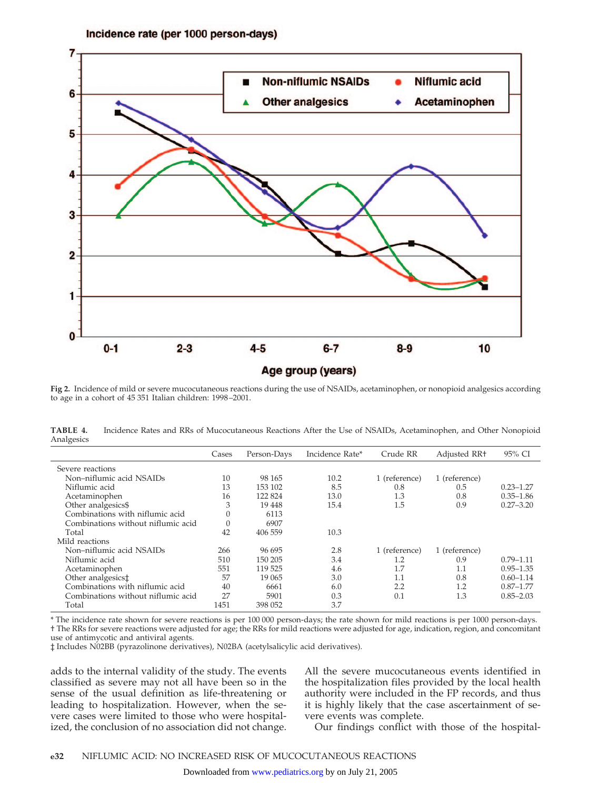Incidence rate (per 1000 person-days)



**Fig 2.** Incidence of mild or severe mucocutaneous reactions during the use of NSAIDs, acetaminophen, or nonopioid analgesics according to age in a cohort of 45 351 Italian children: 1998 –2001.

| TABLE 4.   | Incidence Rates and RRs of Mucocutaneous Reactions After the Use of NSAIDs, Acetaminophen, and Other Nonopioid |
|------------|----------------------------------------------------------------------------------------------------------------|
| Analgesics |                                                                                                                |

|                                    | Cases | Person-Days | Incidence Rate* | Crude RR      | Adjusted RR+  | 95% CI        |
|------------------------------------|-------|-------------|-----------------|---------------|---------------|---------------|
| Severe reactions                   |       |             |                 |               |               |               |
| Non-niflumic acid NSAIDs           | 10    | 98 165      | 10.2            | 1 (reference) | 1 (reference) |               |
| Niflumic acid                      | 13    | 153 102     | 8.5             | 0.8           | 0.5           | $0.23 - 1.27$ |
| Acetaminophen                      | 16    | 122 824     | 13.0            | 1.3           | 0.8           | $0.35 - 1.86$ |
| Other analgesics\$                 | 3     | 19 4 48     | 15.4            | 1.5           | 0.9           | $0.27 - 3.20$ |
| Combinations with niflumic acid    |       | 6113        |                 |               |               |               |
| Combinations without niflumic acid |       | 6907        |                 |               |               |               |
| Total                              | 42    | 406 559     | 10.3            |               |               |               |
| Mild reactions                     |       |             |                 |               |               |               |
| Non-niflumic acid NSAIDs           | 266   | 96 695      | 2.8             | 1 (reference) | 1 (reference) |               |
| Niflumic acid                      | 510   | 150 205     | 3.4             | 1.2           | 0.9           | $0.79 - 1.11$ |
| Acetaminophen                      | 551   | 119 525     | 4.6             | 1.7           | 1.1           | $0.95 - 1.35$ |
| Other analgesics <sup>+</sup>      | 57    | 19 065      | 3.0             | 1.1           | 0.8           | $0.60 - 1.14$ |
| Combinations with niflumic acid    | 40    | 6661        | 6.0             | 2.2           | 1.2           | $0.87 - 1.77$ |
| Combinations without niflumic acid | 27    | 5901        | 0.3             | 0.1           | 1.3           | $0.85 - 2.03$ |
| Total                              | 1451  | 398 052     | 3.7             |               |               |               |

\* The incidence rate shown for severe reactions is per 100 000 person-days; the rate shown for mild reactions is per 1000 person-days. † The RRs for severe reactions were adjusted for age; the RRs for mild reactions were adjusted for age, indication, region, and concomitant use of antimycotic and antiviral agents.

‡ Includes N02BB (pyrazolinone derivatives), N02BA (acetylsalicylic acid derivatives).

adds to the internal validity of the study. The events classified as severe may not all have been so in the sense of the usual definition as life-threatening or leading to hospitalization. However, when the severe cases were limited to those who were hospitalized, the conclusion of no association did not change.

All the severe mucocutaneous events identified in the hospitalization files provided by the local health authority were included in the FP records, and thus it is highly likely that the case ascertainment of severe events was complete.

Our findings conflict with those of the hospital-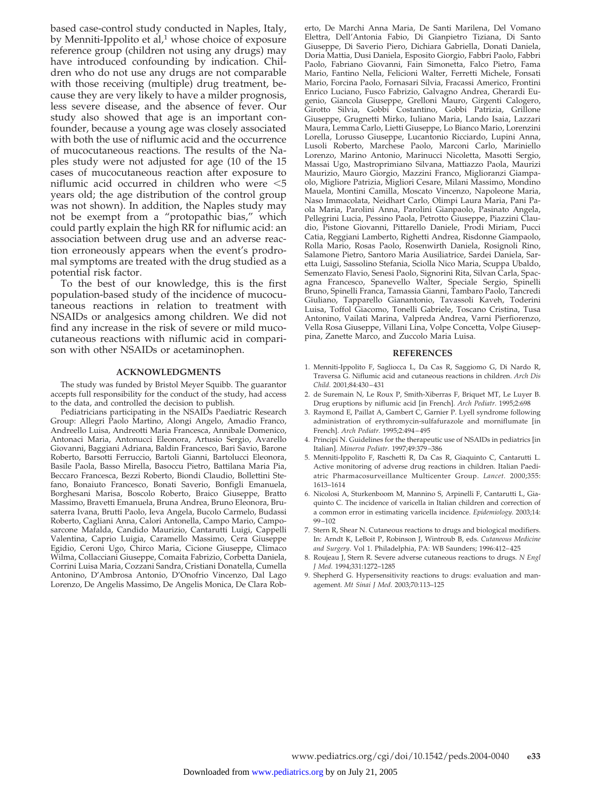based case-control study conducted in Naples, Italy, by Menniti-Ippolito et al,<sup>1</sup> whose choice of exposure reference group (children not using any drugs) may have introduced confounding by indication. Children who do not use any drugs are not comparable with those receiving (multiple) drug treatment, because they are very likely to have a milder prognosis, less severe disease, and the absence of fever. Our study also showed that age is an important confounder, because a young age was closely associated with both the use of niflumic acid and the occurrence of mucocutaneous reactions. The results of the Naples study were not adjusted for age (10 of the 15 cases of mucocutaneous reaction after exposure to niflumic acid occurred in children who were  $<$  5 years old; the age distribution of the control group was not shown). In addition, the Naples study may not be exempt from a "protopathic bias," which could partly explain the high RR for niflumic acid: an association between drug use and an adverse reaction erroneously appears when the event's prodromal symptoms are treated with the drug studied as a potential risk factor.

To the best of our knowledge, this is the first population-based study of the incidence of mucocutaneous reactions in relation to treatment with NSAIDs or analgesics among children. We did not find any increase in the risk of severe or mild mucocutaneous reactions with niflumic acid in comparison with other NSAIDs or acetaminophen.

### **ACKNOWLEDGMENTS**

The study was funded by Bristol Meyer Squibb. The guarantor accepts full responsibility for the conduct of the study, had access to the data, and controlled the decision to publish.

Pediatricians participating in the NSAIDs Paediatric Research Group: Allegri Paolo Martino, Alongi Angelo, Amadio Franco, Andreello Luisa, Andreotti Maria Francesca, Annibale Domenico, Antonaci Maria, Antonucci Eleonora, Artusio Sergio, Avarello Giovanni, Baggiani Adriana, Baldin Francesco, Bari Savio, Barone Roberto, Barsotti Ferruccio, Bartoli Gianni, Bartolucci Eleonora, Basile Paola, Basso Mirella, Basoccu Pietro, Battilana Maria Pia, Beccaro Francesca, Bezzi Roberto, Biondi Claudio, Bollettini Stefano, Bonaiuto Francesco, Bonati Saverio, Bonfigli Emanuela, Borghesani Marisa, Boscolo Roberto, Braico Giuseppe, Bratto Massimo, Bravetti Emanuela, Bruna Andrea, Bruno Eleonora, Brusaterra Ivana, Brutti Paolo, Ieva Angela, Bucolo Carmelo, Budassi Roberto, Cagliani Anna, Calori Antonella, Campo Mario, Camposarcone Mafalda, Candido Maurizio, Cantarutti Luigi, Cappelli Valentina, Caprio Luigia, Caramello Massimo, Cera Giuseppe Egidio, Ceroni Ugo, Chirco Maria, Cicione Giuseppe, Climaco Wilma, Collacciani Giuseppe, Comaita Fabrizio, Corbetta Daniela, Corrini Luisa Maria, Cozzani Sandra, Cristiani Donatella, Cumella Antonino, D'Ambrosa Antonio, D'Onofrio Vincenzo, Dal Lago Lorenzo, De Angelis Massimo, De Angelis Monica, De Clara Rob-

erto, De Marchi Anna Maria, De Santi Marilena, Del Vomano Elettra, Dell'Antonia Fabio, Di Gianpietro Tiziana, Di Santo Giuseppe, Di Saverio Piero, Dichiara Gabriella, Donati Daniela, Doria Mattia, Dusi Daniela, Esposito Giorgio, Fabbri Paolo, Fabbri Paolo, Fabriano Giovanni, Fain Simonetta, Falco Pietro, Fama Mario, Fantino Nella, Felicioni Walter, Ferretti Michele, Fonsati Mario, Forcina Paolo, Fornasari Silvia, Fracassi Americo, Frontini Enrico Luciano, Fusco Fabrizio, Galvagno Andrea, Gherardi Eugenio, Giancola Giuseppe, Grelloni Mauro, Girgenti Calogero, Girotto Silvia, Gobbi Costantino, Gobbi Patrizia, Grillone Giuseppe, Grugnetti Mirko, Iuliano Maria, Lando Isaia, Lazzari Maura, Lemma Carlo, Lietti Giuseppe, Lo Bianco Mario, Lorenzini Lorella, Lorusso Giuseppe, Lucantonio Ricciardo, Lupini Anna, Lusoli Roberto, Marchese Paolo, Marconi Carlo, Mariniello Lorenzo, Marino Antonio, Marinucci Nicoletta, Masotti Sergio, Massai Ugo, Mastroprimiano Silvana, Mattiazzo Paola, Maurizi Maurizio, Mauro Giorgio, Mazzini Franco, Miglioranzi Giampaolo, Migliore Patrizia, Migliori Cesare, Milani Massimo, Mondino Mauela, Montini Camilla, Moscato Vincenzo, Napoleone Maria, Naso Immacolata, Neidhart Carlo, Olimpi Laura Maria, Pani Paola Maria, Parolini Anna, Parolini Gianpaolo, Pasinato Angela, Pellegrini Lucia, Pessino Paola, Petrotto Giuseppe, Piazzini Claudio, Pistone Giovanni, Pittarello Daniele, Prodi Miriam, Pucci Catia, Reggiani Lamberto, Righetti Andrea, Risdonne Giampaolo, Rolla Mario, Rosas Paolo, Rosenwirth Daniela, Rosignoli Rino, Salamone Pietro, Santoro Maria Ausiliatrice, Sardei Daniela, Saretta Luigi, Sassolino Stefania, Sciolla Nico Maria, Scuppa Ubaldo, Semenzato Flavio, Senesi Paolo, Signorini Rita, Silvan Carla, Spacagna Francesco, Spanevello Walter, Speciale Sergio, Spinelli Bruno, Spinelli Franca, Tamassia Gianni, Tambaro Paolo, Tancredi Giuliano, Tapparello Gianantonio, Tavassoli Kaveh, Toderini Luisa, Toffol Giacomo, Tonelli Gabriele, Toscano Cristina, Tusa Antonino, Vailati Marina, Valpreda Andrea, Varni Pierfiorenzo, Vella Rosa Giuseppe, Villani Lina, Volpe Concetta, Volpe Giuseppina, Zanette Marco, and Zuccolo Maria Luisa.

#### **REFERENCES**

- 1. Menniti-Ippolito F, Sagliocca L, Da Cas R, Saggiomo G, Di Nardo R, Traversa G. Niflumic acid and cutaneous reactions in children. *Arch Dis Child.* 2001;84:430 – 431
- 2. de Suremain N, Le Roux P, Smith-Xiberras F, Briquet MT, Le Luyer B. Drug eruptions by niflumic acid [in French]. *Arch Pediatr.* 1995;2:698
- 3. Raymond E, Paillat A, Gambert C, Garnier P. Lyell syndrome following administration of erythromycin-sulfafurazole and morniflumate [in French]. *Arch Pediatr.* 1995;2:494 – 495
- 4. Principi N. Guidelines for the therapeutic use of NSAIDs in pediatrics [in Italian]. *Minerva Pediatr.* 1997;49:379 –386
- 5. Menniti-Ippolito F, Raschetti R, Da Cas R, Giaquinto C, Cantarutti L. Active monitoring of adverse drug reactions in children. Italian Paediatric Pharmacosurveillance Multicenter Group. *Lancet.* 2000;355: 1613–1614
- 6. Nicolosi A, Sturkenboom M, Mannino S, Arpinelli F, Cantarutti L, Giaquinto C. The incidence of varicella in Italian children and correction of a common error in estimating varicella incidence. *Epidemiology.* 2003;14: 99 –102
- 7. Stern R, Shear N. Cutaneous reactions to drugs and biological modifiers. In: Arndt K, LeBoit P, Robinson J, Wintroub B, eds. *Cutaneous Medicine and Surgery*. Vol 1. Philadelphia, PA: WB Saunders; 1996:412– 425
- 8. Roujeau J, Stern R. Severe adverse cutaneous reactions to drugs. *N Engl J Med.* 1994;331:1272–1285
- 9. Shepherd G. Hypersensitivity reactions to drugs: evaluation and management. *Mt Sinai J Med.* 2003;70:113–125